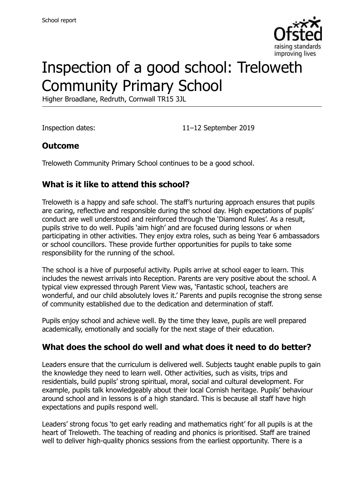

# Inspection of a good school: Treloweth Community Primary School

Higher Broadlane, Redruth, Cornwall TR15 3JL

Inspection dates: 11–12 September 2019

### **Outcome**

Treloweth Community Primary School continues to be a good school.

# **What is it like to attend this school?**

Treloweth is a happy and safe school. The staff's nurturing approach ensures that pupils are caring, reflective and responsible during the school day. High expectations of pupils' conduct are well understood and reinforced through the 'Diamond Rules'. As a result, pupils strive to do well. Pupils 'aim high' and are focused during lessons or when participating in other activities. They enjoy extra roles, such as being Year 6 ambassadors or school councillors. These provide further opportunities for pupils to take some responsibility for the running of the school.

The school is a hive of purposeful activity. Pupils arrive at school eager to learn. This includes the newest arrivals into Reception. Parents are very positive about the school. A typical view expressed through Parent View was, 'Fantastic school, teachers are wonderful, and our child absolutely loves it.' Parents and pupils recognise the strong sense of community established due to the dedication and determination of staff.

Pupils enjoy school and achieve well. By the time they leave, pupils are well prepared academically, emotionally and socially for the next stage of their education.

# **What does the school do well and what does it need to do better?**

Leaders ensure that the curriculum is delivered well. Subjects taught enable pupils to gain the knowledge they need to learn well. Other activities, such as visits, trips and residentials, build pupils' strong spiritual, moral, social and cultural development. For example, pupils talk knowledgeably about their local Cornish heritage. Pupils' behaviour around school and in lessons is of a high standard. This is because all staff have high expectations and pupils respond well.

Leaders' strong focus 'to get early reading and mathematics right' for all pupils is at the heart of Treloweth. The teaching of reading and phonics is prioritised. Staff are trained well to deliver high-quality phonics sessions from the earliest opportunity. There is a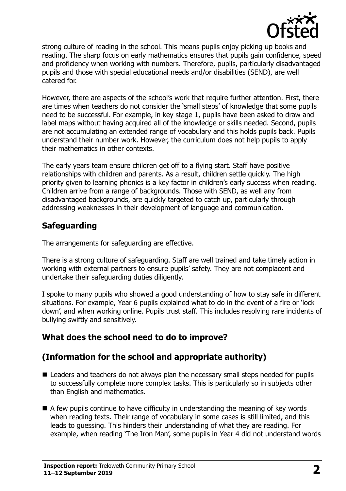

strong culture of reading in the school. This means pupils enjoy picking up books and reading. The sharp focus on early mathematics ensures that pupils gain confidence, speed and proficiency when working with numbers. Therefore, pupils, particularly disadvantaged pupils and those with special educational needs and/or disabilities (SEND), are well catered for.

However, there are aspects of the school's work that require further attention. First, there are times when teachers do not consider the 'small steps' of knowledge that some pupils need to be successful. For example, in key stage 1, pupils have been asked to draw and label maps without having acquired all of the knowledge or skills needed. Second, pupils are not accumulating an extended range of vocabulary and this holds pupils back. Pupils understand their number work. However, the curriculum does not help pupils to apply their mathematics in other contexts.

The early years team ensure children get off to a flying start. Staff have positive relationships with children and parents. As a result, children settle quickly. The high priority given to learning phonics is a key factor in children's early success when reading. Children arrive from a range of backgrounds. Those with SEND, as well any from disadvantaged backgrounds, are quickly targeted to catch up, particularly through addressing weaknesses in their development of language and communication.

# **Safeguarding**

The arrangements for safeguarding are effective.

There is a strong culture of safeguarding. Staff are well trained and take timely action in working with external partners to ensure pupils' safety. They are not complacent and undertake their safeguarding duties diligently.

I spoke to many pupils who showed a good understanding of how to stay safe in different situations. For example, Year 6 pupils explained what to do in the event of a fire or 'lock down', and when working online. Pupils trust staff. This includes resolving rare incidents of bullying swiftly and sensitively.

# **What does the school need to do to improve?**

# **(Information for the school and appropriate authority)**

- Leaders and teachers do not always plan the necessary small steps needed for pupils to successfully complete more complex tasks. This is particularly so in subjects other than English and mathematics.
- $\blacksquare$  A few pupils continue to have difficulty in understanding the meaning of key words when reading texts. Their range of vocabulary in some cases is still limited, and this leads to guessing. This hinders their understanding of what they are reading. For example, when reading 'The Iron Man', some pupils in Year 4 did not understand words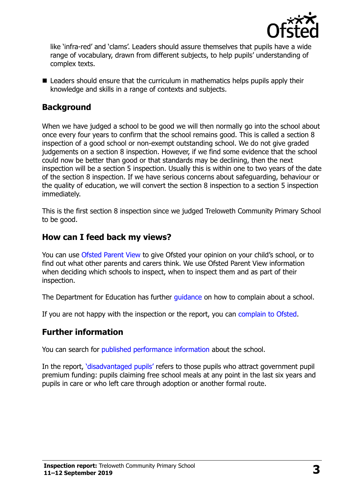

like 'infra-red' and 'clams'. Leaders should assure themselves that pupils have a wide range of vocabulary, drawn from different subjects, to help pupils' understanding of complex texts.

■ Leaders should ensure that the curriculum in mathematics helps pupils apply their knowledge and skills in a range of contexts and subjects.

#### **Background**

When we have judged a school to be good we will then normally go into the school about once every four years to confirm that the school remains good. This is called a section 8 inspection of a good school or non-exempt outstanding school. We do not give graded judgements on a section 8 inspection. However, if we find some evidence that the school could now be better than good or that standards may be declining, then the next inspection will be a section 5 inspection. Usually this is within one to two years of the date of the section 8 inspection. If we have serious concerns about safeguarding, behaviour or the quality of education, we will convert the section 8 inspection to a section 5 inspection immediately.

This is the first section 8 inspection since we judged Treloweth Community Primary School to be good.

#### **How can I feed back my views?**

You can use [Ofsted Parent View](https://parentview.ofsted.gov.uk/) to give Ofsted your opinion on your child's school, or to find out what other parents and carers think. We use Ofsted Parent View information when deciding which schools to inspect, when to inspect them and as part of their inspection.

The Department for Education has further quidance on how to complain about a school.

If you are not happy with the inspection or the report, you can [complain to Ofsted.](https://www.gov.uk/complain-ofsted-report)

#### **Further information**

You can search for [published performance information](http://www.compare-school-performance.service.gov.uk/) about the school.

In the report, '[disadvantaged pupils](http://www.gov.uk/guidance/pupil-premium-information-for-schools-and-alternative-provision-settings)' refers to those pupils who attract government pupil premium funding: pupils claiming free school meals at any point in the last six years and pupils in care or who left care through adoption or another formal route.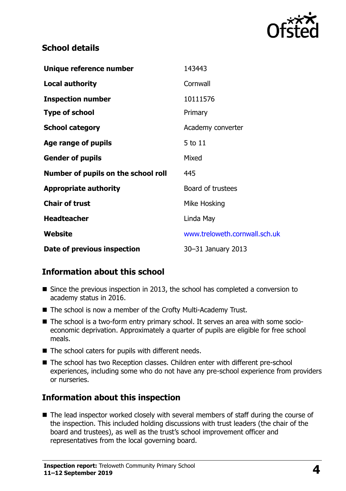

#### **School details**

| Unique reference number             | 143443                        |
|-------------------------------------|-------------------------------|
| <b>Local authority</b>              | Cornwall                      |
| <b>Inspection number</b>            | 10111576                      |
| <b>Type of school</b>               | Primary                       |
| <b>School category</b>              | Academy converter             |
| Age range of pupils                 | 5 to 11                       |
| <b>Gender of pupils</b>             | Mixed                         |
| Number of pupils on the school roll | 445                           |
| <b>Appropriate authority</b>        | Board of trustees             |
| <b>Chair of trust</b>               | Mike Hosking                  |
| <b>Headteacher</b>                  | Linda May                     |
| Website                             | www.treloweth.cornwall.sch.uk |
| Date of previous inspection         | 30-31 January 2013            |

# **Information about this school**

- Since the previous inspection in 2013, the school has completed a conversion to academy status in 2016.
- The school is now a member of the Crofty Multi-Academy Trust.
- The school is a two-form entry primary school. It serves an area with some socioeconomic deprivation. Approximately a quarter of pupils are eligible for free school meals.
- The school caters for pupils with different needs.
- The school has two Reception classes. Children enter with different pre-school experiences, including some who do not have any pre-school experience from providers or nurseries.

# **Information about this inspection**

■ The lead inspector worked closely with several members of staff during the course of the inspection. This included holding discussions with trust leaders (the chair of the board and trustees), as well as the trust's school improvement officer and representatives from the local governing board.

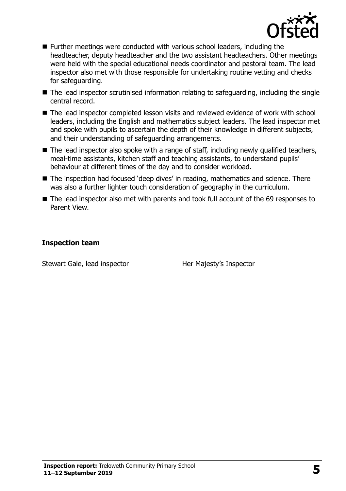

- Further meetings were conducted with various school leaders, including the headteacher, deputy headteacher and the two assistant headteachers. Other meetings were held with the special educational needs coordinator and pastoral team. The lead inspector also met with those responsible for undertaking routine vetting and checks for safeguarding.
- The lead inspector scrutinised information relating to safeguarding, including the single central record.
- The lead inspector completed lesson visits and reviewed evidence of work with school leaders, including the English and mathematics subject leaders. The lead inspector met and spoke with pupils to ascertain the depth of their knowledge in different subjects, and their understanding of safeguarding arrangements.
- The lead inspector also spoke with a range of staff, including newly qualified teachers, meal-time assistants, kitchen staff and teaching assistants, to understand pupils' behaviour at different times of the day and to consider workload.
- The inspection had focused 'deep dives' in reading, mathematics and science. There was also a further lighter touch consideration of geography in the curriculum.
- The lead inspector also met with parents and took full account of the 69 responses to Parent View.

#### **Inspection team**

Stewart Gale, lead inspector **Her Majesty's Inspector**